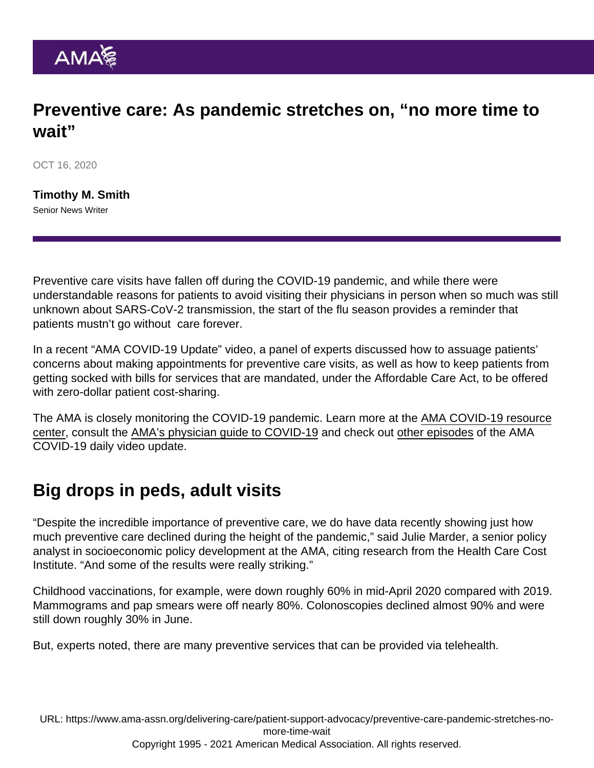## Preventive care: As pandemic stretches on, "no more time to wait"

OCT 16, 2020

[Timothy M. Smith](https://www.ama-assn.org/news-leadership-viewpoints/authors-news-leadership-viewpoints/timothy-m-smith) Senior News Writer

Preventive care visits have fallen off during the COVID-19 pandemic, and while there were understandable reasons for patients to avoid visiting their physicians in person when so much was still unknown about SARS-CoV-2 transmission, the start of the flu season provides a reminder that patients mustn't go without care forever.

In a [recent "AMA COVID-19 Update" video,](https://www.ama-assn.org/delivering-care/public-health/ama-covid-19-daily-video-update-easing-patient-concerns-about-safety) a panel of experts discussed how to assuage patients' concerns about making appointments for preventive care visits, as well as how to keep patients from getting socked with bills for services that are mandated, under the Affordable Care Act, to be offered with zero-dollar patient cost-sharing.

The AMA is closely monitoring the COVID-19 pandemic. Learn more at the [AMA COVID-19 resource](https://www.ama-assn.org/delivering-care/public-health/covid-19-2019-novel-coronavirus-resource-center-physicians) [center](https://www.ama-assn.org/delivering-care/public-health/covid-19-2019-novel-coronavirus-resource-center-physicians), consult the [AMA's physician guide to COVID-19](http://cloud.e.ama-assn.org/20-1544-covid19) and check out [other episodes](https://www.ama-assn.org/topics/ama-covid-19-daily-video-updates) of the AMA COVID-19 daily video update.

## Big drops in peds, adult visits

"Despite the incredible importance of preventive care, we do have data recently showing just how much preventive care declined during the height of the pandemic," said Julie Marder, a senior policy analyst in socioeconomic policy development at the AMA, citing research from the Health Care Cost Institute. "And some of the results were really striking."

Childhood vaccinations, for example, were down roughly 60% in mid-April 2020 compared with 2019. Mammograms and pap smears were off nearly 80%. Colonoscopies declined almost 90% and were still down roughly 30% in June.

But, experts noted, there are many preventive services that can be provided via telehealth.

URL: [https://www.ama-assn.org/delivering-care/patient-support-advocacy/preventive-care-pandemic-stretches-no](https://www.ama-assn.org/delivering-care/patient-support-advocacy/preventive-care-pandemic-stretches-no-more-time-wait)[more-time-wait](https://www.ama-assn.org/delivering-care/patient-support-advocacy/preventive-care-pandemic-stretches-no-more-time-wait)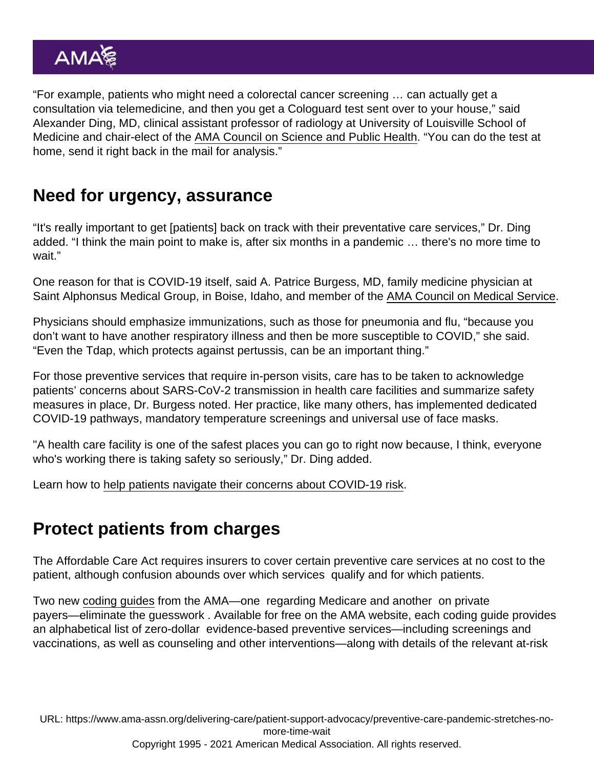"For example, patients who might need a colorectal cancer screening … can actually get a consultation via telemedicine, and then you get a Cologuard test sent over to your house," said Alexander Ding, MD, clinical assistant professor of radiology at University of Louisville School of Medicine and chair-elect of the [AMA Council on Science and Public Health](https://www.ama-assn.org/councils/council-science-public-health). "You can do the test at home, send it right back in the mail for analysis."

## Need for urgency, assurance

"It's really important to get [patients] back on track with their preventative care services," Dr. Ding added. "I think the main point to make is, after six months in a pandemic … there's no more time to wait."

One reason for that is COVID-19 itself, said A. Patrice Burgess, MD, family medicine physician at Saint Alphonsus Medical Group, in Boise, Idaho, and member of the [AMA Council on Medical Service.](https://www.ama-assn.org/councils/council-medical-service)

Physicians should emphasize immunizations, such as those for pneumonia and flu, "because you don't want to have another respiratory illness and then be more susceptible to COVID," she said. "Even the Tdap, which protects against pertussis, can be an important thing."

For those preventive services that require in-person visits, care has to be taken to acknowledge patients' concerns about SARS-CoV-2 transmission in health care facilities and summarize safety measures in place, Dr. Burgess noted. Her practice, like many others, has implemented dedicated COVID-19 pathways, mandatory temperature screenings and universal use of face masks.

"A health care facility is one of the safest places you can go to right now because, I think, everyone who's working there is taking safety so seriously," Dr. Ding added.

Learn how to [help patients navigate their concerns about COVID-19 risk](https://www.ama-assn.org/delivering-care/public-health/helping-patients-navigate-their-concerns-about-covid-19-risk).

## Protect patients from charges

The Affordable Care Act requires insurers to cover certain preventive care services at no cost to the patient, although confusion abounds over which services qualify and for which patients.

Two new [coding guides](https://www.ama-assn.org/delivering-care/patient-support-advocacy/preventive-services-coding-guides) from the AMA—one regarding Medicare and another on private payers—eliminate the guesswork . Available for free on the AMA website, each coding guide provides an alphabetical list of zero-dollar evidence-based preventive services—including screenings and vaccinations, as well as counseling and other interventions—along with details of the relevant at-risk

URL: [https://www.ama-assn.org/delivering-care/patient-support-advocacy/preventive-care-pandemic-stretches-no](https://www.ama-assn.org/delivering-care/patient-support-advocacy/preventive-care-pandemic-stretches-no-more-time-wait)[more-time-wait](https://www.ama-assn.org/delivering-care/patient-support-advocacy/preventive-care-pandemic-stretches-no-more-time-wait) Copyright 1995 - 2021 American Medical Association. All rights reserved.